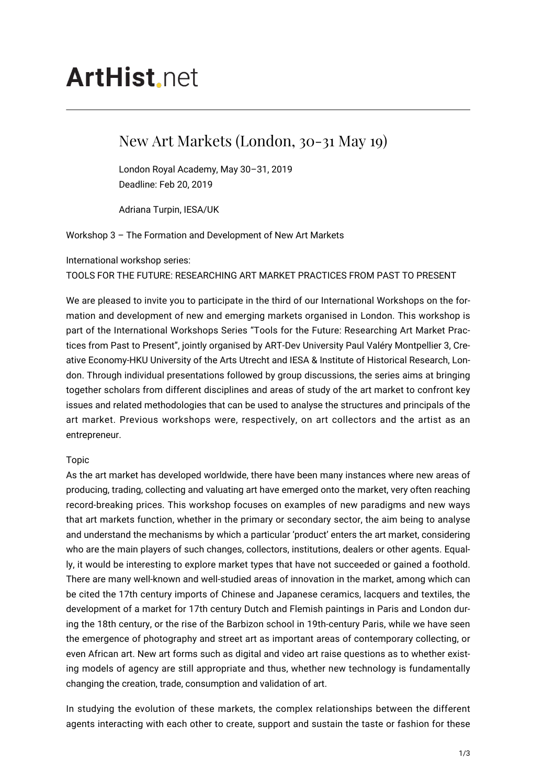# **ArtHist** net

# New Art Markets (London, 30-31 May 19)

London Royal Academy, May 30–31, 2019 Deadline: Feb 20, 2019

Adriana Turpin, IESA/UK

Workshop 3 – The Formation and Development of New Art Markets

International workshop series:

# TOOLS FOR THE FUTURE: RESEARCHING ART MARKET PRACTICES FROM PAST TO PRESENT

We are pleased to invite you to participate in the third of our International Workshops on the formation and development of new and emerging markets organised in London. This workshop is part of the International Workshops Series "Tools for the Future: Researching Art Market Practices from Past to Present", jointly organised by ART-Dev University Paul Valéry Montpellier 3, Creative Economy-HKU University of the Arts Utrecht and IESA & Institute of Historical Research, London. Through individual presentations followed by group discussions, the series aims at bringing together scholars from different disciplines and areas of study of the art market to confront key issues and related methodologies that can be used to analyse the structures and principals of the art market. Previous workshops were, respectively, on art collectors and the artist as an entrepreneur.

# Topic

As the art market has developed worldwide, there have been many instances where new areas of producing, trading, collecting and valuating art have emerged onto the market, very often reaching record-breaking prices. This workshop focuses on examples of new paradigms and new ways that art markets function, whether in the primary or secondary sector, the aim being to analyse and understand the mechanisms by which a particular 'product' enters the art market, considering who are the main players of such changes, collectors, institutions, dealers or other agents. Equally, it would be interesting to explore market types that have not succeeded or gained a foothold. There are many well-known and well-studied areas of innovation in the market, among which can be cited the 17th century imports of Chinese and Japanese ceramics, lacquers and textiles, the development of a market for 17th century Dutch and Flemish paintings in Paris and London during the 18th century, or the rise of the Barbizon school in 19th-century Paris, while we have seen the emergence of photography and street art as important areas of contemporary collecting, or even African art. New art forms such as digital and video art raise questions as to whether existing models of agency are still appropriate and thus, whether new technology is fundamentally changing the creation, trade, consumption and validation of art.

In studying the evolution of these markets, the complex relationships between the different agents interacting with each other to create, support and sustain the taste or fashion for these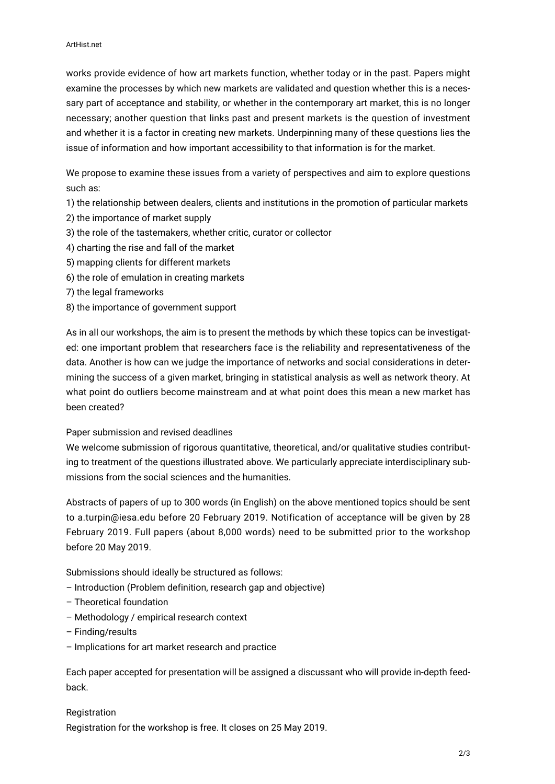works provide evidence of how art markets function, whether today or in the past. Papers might examine the processes by which new markets are validated and question whether this is a necessary part of acceptance and stability, or whether in the contemporary art market, this is no longer necessary; another question that links past and present markets is the question of investment and whether it is a factor in creating new markets. Underpinning many of these questions lies the issue of information and how important accessibility to that information is for the market.

We propose to examine these issues from a variety of perspectives and aim to explore questions such as:

1) the relationship between dealers, clients and institutions in the promotion of particular markets

- 2) the importance of market supply
- 3) the role of the tastemakers, whether critic, curator or collector
- 4) charting the rise and fall of the market
- 5) mapping clients for different markets
- 6) the role of emulation in creating markets
- 7) the legal frameworks
- 8) the importance of government support

As in all our workshops, the aim is to present the methods by which these topics can be investigated: one important problem that researchers face is the reliability and representativeness of the data. Another is how can we judge the importance of networks and social considerations in determining the success of a given market, bringing in statistical analysis as well as network theory. At what point do outliers become mainstream and at what point does this mean a new market has been created?

### Paper submission and revised deadlines

We welcome submission of rigorous quantitative, theoretical, and/or qualitative studies contributing to treatment of the questions illustrated above. We particularly appreciate interdisciplinary submissions from the social sciences and the humanities.

Abstracts of papers of up to 300 words (in English) on the above mentioned topics should be sent to a.turpin@iesa.edu before 20 February 2019. Notification of acceptance will be given by 28 February 2019. Full papers (about 8,000 words) need to be submitted prior to the workshop before 20 May 2019.

Submissions should ideally be structured as follows:

- Introduction (Problem definition, research gap and objective)
- Theoretical foundation
- Methodology / empirical research context
- Finding/results
- Implications for art market research and practice

Each paper accepted for presentation will be assigned a discussant who will provide in-depth feedback.

**Registration** Registration for the workshop is free. It closes on 25 May 2019.